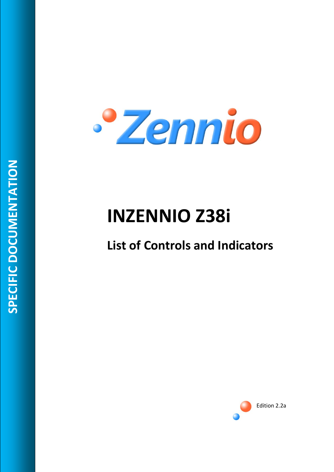

# **INZENNIO Z38i**

# **List of Controls and Indicators**

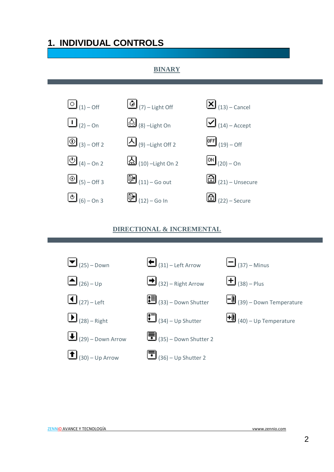# **1. INDIVIDUAL CONTROLS**

#### **BINARY**



#### **DIRECTIONAL & INCREMENTAL**

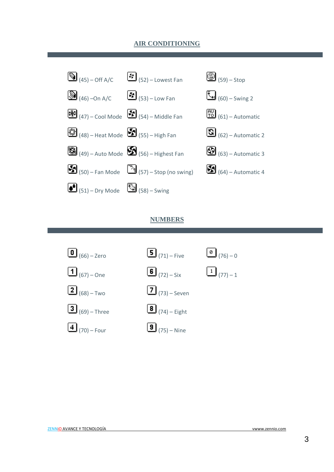#### **AIR CONDITIONING**



#### **NUMBERS**

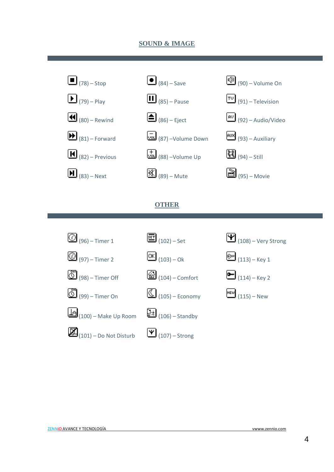#### **SOUND & IMAGE**



#### **OTHER**







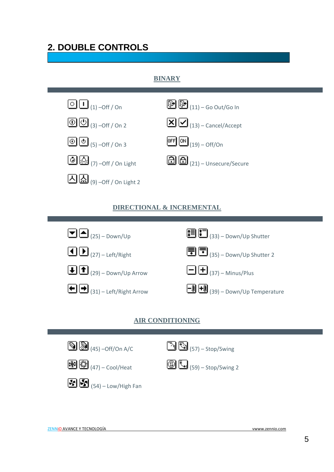## **2. DOUBLE CONTROLS**

#### **BINARY**



#### **DIRECTIONAL & INCREMENTAL**



#### **AIR CONDITIONING**

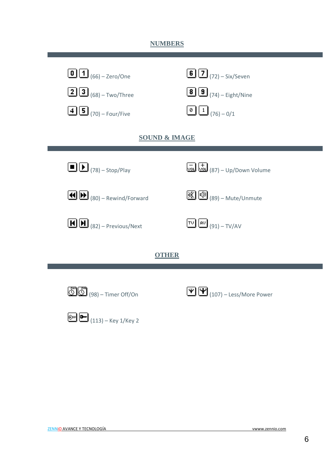#### **NUMBERS**

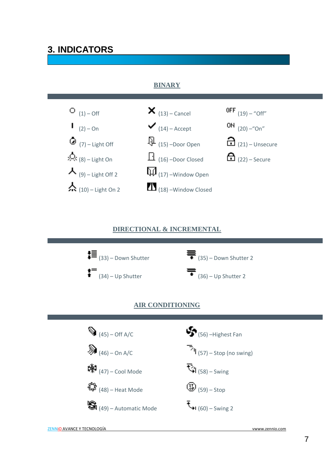### **3. INDICATORS**

#### **BINARY**



#### **DIRECTIONAL & INCREMENTAL**



#### **AIR CONDITIONING**

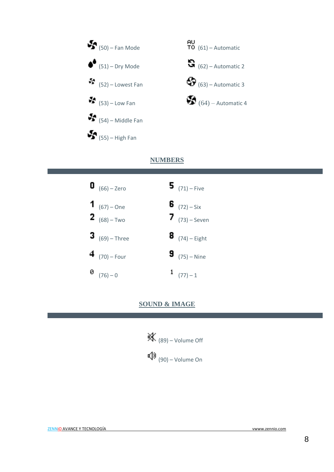

#### **NUMBERS**



#### **SOUND & IMAGE**

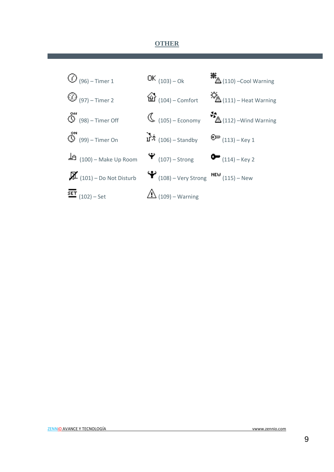#### **OTHER**